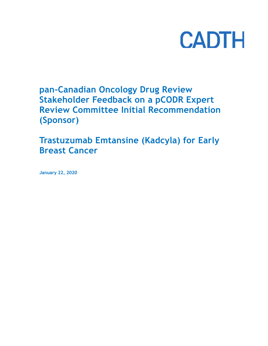# **CADTH**

**pan-Canadian Oncology Drug Review Stakeholder Feedback on a pCODR Expert Review Committee Initial Recommendation (Sponsor)**

**Trastuzumab Emtansine (Kadcyla) for Early Breast Cancer**

**January 22, 2020**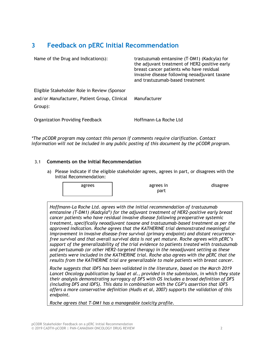# **3 Feedback on pERC Initial Recommendation**

| Name of the Drug and Indication(s):          | trastuzumab emtansine (T-DM1) (Kadcyla) for<br>the adjuvant treatment of HER2-positive early<br>breast cancer patients who have residual<br>invasive disease following neoadjuvant taxane<br>and trastuzumab-based treatment |
|----------------------------------------------|------------------------------------------------------------------------------------------------------------------------------------------------------------------------------------------------------------------------------|
| Eligible Stakeholder Role in Review (Sponsor |                                                                                                                                                                                                                              |
| and/or Manufacturer, Patient Group, Clinical | Manufacturer                                                                                                                                                                                                                 |
| Group):                                      |                                                                                                                                                                                                                              |
| <b>Organization Providing Feedback</b>       | Hoffmann-La Roche Ltd                                                                                                                                                                                                        |

*\*The pCODR program may contact this person if comments require clarification. Contact information will not be included in any public posting of this document by the pCODR program.*

### 3.1 **Comments on the Initial Recommendation**

a) Please indicate if the eligible stakeholder agrees, agrees in part, or disagrees with the Initial Recommendation:

| agrees | agrees in<br>part | disagree |
|--------|-------------------|----------|
|        |                   |          |

*Hoffmann-La Roche Ltd. agrees with the initial recommendation of trastuzumab emtansine (T-DM1) (Kadcyla®) for the adjuvant treatment of HER2-positive early breast cancer patients who have residual invasive disease following preoperative systemic treatment, specifically neoadjuvant taxane and trastuzumab-based treatment as per the approved indication. Roche agrees that the KATHERINE trial demonstrated meaningful improvement in invasive disease-free survival (primary endpoint) and distant recurrencefree survival and that overall survival data is not yet mature. Roche agrees with pERC's support of the generalizability of the trial evidence to patients treated with trastuzumab and pertuzumab (or other HER2-targeted therapy) in the neoadjuvant setting as these patients were included in the KATHERINE trial. Roche also agrees with the pERC that the results from the KATHERINE trial are generalizable to male patients with breast cancer.* 

*Roche suggests that iDFS has been validated in the literature, based on the March 2019 Lancet Oncology publication by Saad et al., provided in the submission, in which they state their analysis demonstrating surrogacy of DFS with OS includes a broad definition of DFS (including DFS and iDFS). This data in combination with the CGP's assertion that iDFS offers a more conservative definition (Hudis et al, 2007) supports the validation of this endpoint.* 

*Roche agrees that T-DM1 has a manageable toxicity profile.*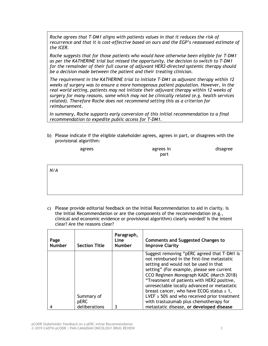*Roche agrees that T-DM1 aligns with patients values in that it reduces the risk of recurrence and that it is cost-effective based on ours and the EGP's reassessed estimate of the ICER.*

*Roche suggests that for those patients who would have otherwise been eligible for T-DM1 as per the KATHERINE trial but missed the opportunity, the decision to switch to T-DM1 for the remainder of their full course of adjuvant HER2-directed systemic therapy should be a decision made between the patient and their treating clinician.*

*The requirement in the KATHERINE trial to initiate T-DM1 as adjuvant therapy within 12 weeks of surgery was to ensure a more homogenous patient population. However, in the real world setting, patients may not initiate their adjuvant therapy within 12 weeks of surgery for many reasons, some which may not be clinically related (e.g. health services related). Therefore Roche does not recommend setting this as a criterion for reimbursement.*

*In summary, Roche supports early conversion of this initial recommendation to a final recommendation to expedite public access for T-DM1.*

b) Please indicate if the eligible stakeholder agrees, agrees in part, or disagrees with the provisional algorithm:

| agrees | agrees in | disagree |
|--------|-----------|----------|
|        | part      |          |

*N/A*

c) Please provide editorial feedback on the Initial Recommendation to aid in clarity. Is the Initial Recommendation or are the components of the recommendation (e.g., clinical and economic evidence or provisional algorithm) clearly worded? Is the intent clear? Are the reasons clear?

| Page<br><b>Number</b> | <b>Section Title</b>                       | Paragraph,<br><b>Line</b><br><b>Number</b> | <b>Comments and Suggested Changes to</b><br><b>Improve Clarity</b>                                                                                                                                                                                                                                                                                                                                                                                                                                                   |
|-----------------------|--------------------------------------------|--------------------------------------------|----------------------------------------------------------------------------------------------------------------------------------------------------------------------------------------------------------------------------------------------------------------------------------------------------------------------------------------------------------------------------------------------------------------------------------------------------------------------------------------------------------------------|
|                       | Summary of<br><b>pERC</b><br>deliberations | 3                                          | Suggest removing "pERC agreed that T-DM1 is<br>not reimbursed in the first-line metastatic<br>setting and would not be used in that<br>setting" (For example, please see current<br>CCO Regimen Monograph KADC (March 2018)<br>"Treatment of patients with HER2 positive,<br>unresectable locally advanced or metastatic<br>breast cancer, who have ECOG status $\leq 1$ ,<br>LVEF $\geq$ 50% and who received prior treatment<br>with trastuzumab plus chemotherapy for<br>metastatic disease, or developed disease |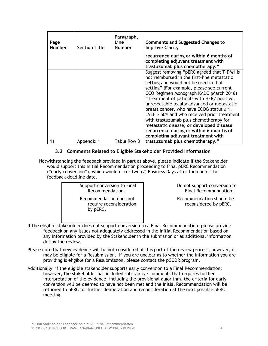| Page<br><b>Number</b> | <b>Section Title</b> | Paragraph,<br><b>Line</b><br><b>Number</b> | <b>Comments and Suggested Changes to</b><br><b>Improve Clarity</b>                                                                                                                                                                                                                                                                                                                                                                                                                                                                                                                                    |
|-----------------------|----------------------|--------------------------------------------|-------------------------------------------------------------------------------------------------------------------------------------------------------------------------------------------------------------------------------------------------------------------------------------------------------------------------------------------------------------------------------------------------------------------------------------------------------------------------------------------------------------------------------------------------------------------------------------------------------|
|                       |                      |                                            | recurrence during or within 6 months of<br>completing adjuvant treatment with<br>trastuzumab plus chemotherapy."                                                                                                                                                                                                                                                                                                                                                                                                                                                                                      |
|                       |                      |                                            | Suggest removing "pERC agreed that T-DM1 is<br>not reimbursed in the first-line metastatic<br>setting and would not be used in that<br>setting" (For example, please see current<br>CCO Regimen Monograph KADC (March 2018)<br>"Treatment of patients with HER2 positive,<br>unresectable locally advanced or metastatic<br>breast cancer, who have ECOG status $\leq 1$ ,<br>LVEF $\geq$ 50% and who received prior treatment<br>with trastuzumab plus chemotherapy for<br>metastatic disease, or developed disease<br>recurrence during or within 6 months of<br>completing adjuvant treatment with |
| 11                    | Appendix 1           | Table Row 3                                | trastuzumab plus chemotherapy."                                                                                                                                                                                                                                                                                                                                                                                                                                                                                                                                                                       |

## **3.2 Comments Related to Eligible Stakeholder Provided Information**

Notwithstanding the feedback provided in part a) above, please indicate if the Stakeholder would support this Initial Recommendation proceeding to Final pERC Recommendation ("early conversion"), which would occur two (2) Business Days after the end of the feedback deadline date.

> Support conversion to Final Recommendation. Recommendation does not require reconsideration

> > by pERC.

Do not support conversion to Final Recommendation.

Recommendation should be reconsidered by pERC.

- If the eligible stakeholder does not support conversion to a Final Recommendation, please provide feedback on any issues not adequately addressed in the Initial Recommendation based on any information provided by the Stakeholder in the submission or as additional information during the review.
- Please note that new evidence will be not considered at this part of the review process, however, it may be eligible for a Resubmission. If you are unclear as to whether the information you are providing is eligible for a Resubmission, please contact the pCODR program.
- Additionally, if the eligible stakeholder supports early conversion to a Final Recommendation; however, the stakeholder has included substantive comments that requires further interpretation of the evidence, including the provisional algorithm, the criteria for early conversion will be deemed to have not been met and the Initial Recommendation will be returned to pERC for further deliberation and reconsideration at the next possible pERC meeting.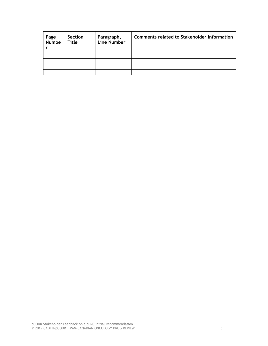| Page<br>Numbe | Section<br>Title | Paragraph,<br>Line Number | <b>Comments related to Stakeholder Information</b> |
|---------------|------------------|---------------------------|----------------------------------------------------|
|               |                  |                           |                                                    |
|               |                  |                           |                                                    |
|               |                  |                           |                                                    |
|               |                  |                           |                                                    |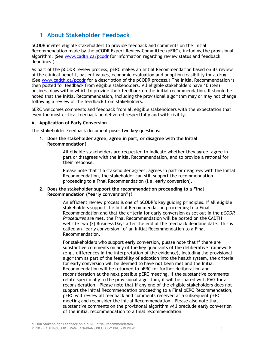## **1 About Stakeholder Feedback**

pCODR invites eligible stakeholders to provide feedback and comments on the Initial Recommendation made by the pCODR Expert Review Committee (pERC), including the provisional algorithm. (See www.cadth.ca/pcodr for information regarding review status and feedback deadlines.)

As part of the pCODR review process, pERC makes an Initial Recommendation based on its review of the clinical benefit, patient values, economic evaluation and adoption feasibility for a drug. (See www.cadth.ca/pcodr for a description of the pCODR process.) The Initial Recommendation is then posted for feedback from eligible stakeholders. All eligible stakeholders have 10 (ten) business days within which to provide their feedback on the initial recommendation. It should be noted that the Initial Recommendation, including the provisional algorithm may or may not change following a review of the feedback from stakeholders.

pERC welcomes comments and feedback from all eligible stakeholders with the expectation that even the most critical feedback be delivered respectfully and with civility.

#### **A. Application of Early Conversion**

The Stakeholder Feedback document poses two key questions:

**1. Does the stakeholder agree, agree in part, or disagree with the Initial Recommendation?**

> All eligible stakeholders are requested to indicate whether they agree, agree in part or disagrees with the Initial Recommendation, and to provide a rational for their response.

Please note that if a stakeholder agrees, agrees in part or disagrees with the Initial Recommendation, the stakeholder can still support the recommendation proceeding to a Final Recommendation (i.e. early conversion).

#### **2. Does the stakeholder support the recommendation proceeding to a Final Recommendation ("early conversion")?**

An efficient review process is one of pCODR's key guiding principles. If all eligible stakeholders support the Initial Recommendation proceeding to a Final Recommendation and that the criteria for early conversion as set out in the *pCODR Procedures* are met, the Final Recommendation will be posted on the CADTH website two (2) Business Days after the end of the feedback deadline date. This is called an "early conversion" of an Initial Recommendation to a Final Recommendation.

For stakeholders who support early conversion, please note that if there are substantive comments on any of the key quadrants of the deliberative framework (e.g., differences in the interpretation of the evidence), including the provisional algorithm as part of the feasibility of adoption into the health system, the criteria for early conversion will be deemed to have **not** been met and the Initial Recommendation will be returned to pERC for further deliberation and reconsideration at the next possible pERC meeting. If the substantive comments relate specifically to the provisional algorithm, it will be shared with PAG for a reconsideration. Please note that if any one of the eligible stakeholders does not support the Initial Recommendation proceeding to a Final pERC Recommendation, pERC will review all feedback and comments received at a subsequent pERC meeting and reconsider the Initial Recommendation. Please also note that substantive comments on the provisional algorithm will preclude early conversion of the initial recommendation to a final recommendation.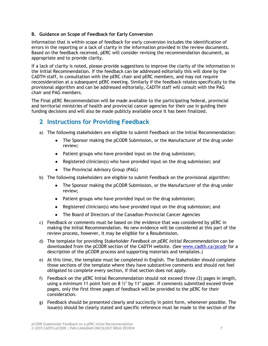#### **B. Guidance on Scope of Feedback for Early Conversion**

Information that is within scope of feedback for early conversion includes the identification of errors in the reporting or a lack of clarity in the information provided in the review documents. Based on the feedback received, pERC will consider revising the recommendation document, as appropriate and to provide clarity.

If a lack of clarity is noted, please provide suggestions to improve the clarity of the information in the Initial Recommendation. If the feedback can be addressed editorially this will done by the CADTH staff, in consultation with the pERC chair and pERC members, and may not require reconsideration at a subsequent pERC meeting. Similarly if the feedback relates specifically to the provisional algorithm and can be addressed editorially, CADTH staff will consult with the PAG chair and PAG members.

The Final pERC Recommendation will be made available to the participating federal, provincial and territorial ministries of health and provincial cancer agencies for their use in guiding their funding decisions and will also be made publicly available once it has been finalized.

## **2 Instructions for Providing Feedback**

- a) The following stakeholders are eligible to submit Feedback on the Initial Recommendation:
	- The Sponsor making the pCODR Submission, or the Manufacturer of the drug under review;
	- Patient groups who have provided input on the drug submission;
	- Registered clinician(s) who have provided input on the drug submission; and
	- The Provincial Advisory Group (PAG)
- b) The following stakeholders are eligible to submit Feedback on the provisional algorithm:
	- The Sponsor making the pCODR Submission, or the Manufacturer of the drug under review;
	- Patient groups who have provided input on the drug submission;
	- Registered clinician(s) who have provided input on the drug submission; and
	- The Board of Directors of the Canadian Provincial Cancer Agencies
- c) Feedback or comments must be based on the evidence that was considered by pERC in making the Initial Recommendation. No new evidence will be considered at this part of the review process, however, it may be eligible for a Resubmission.
- d) The template for providing *Stakeholder Feedback on pERC Initial Recommendation* can be downloaded from the pCODR section of the CADTH website. (See www.cadth.ca/pcodr for a description of the pCODR process and supporting materials and templates.)
- e) At this time, the template must be completed in English. The Stakeholder should complete those sections of the template where they have substantive comments and should not feel obligated to complete every section, if that section does not apply.
- f) Feedback on the pERC Initial Recommendation should not exceed three (3) pages in length, using a minimum 11 point font on 8  $\frac{1}{2}$ " by 11" paper. If comments submitted exceed three pages, only the first three pages of feedback will be provided to the pERC for their consideration.
- g) Feedback should be presented clearly and succinctly in point form, whenever possible. The issue(s) should be clearly stated and specific reference must be made to the section of the